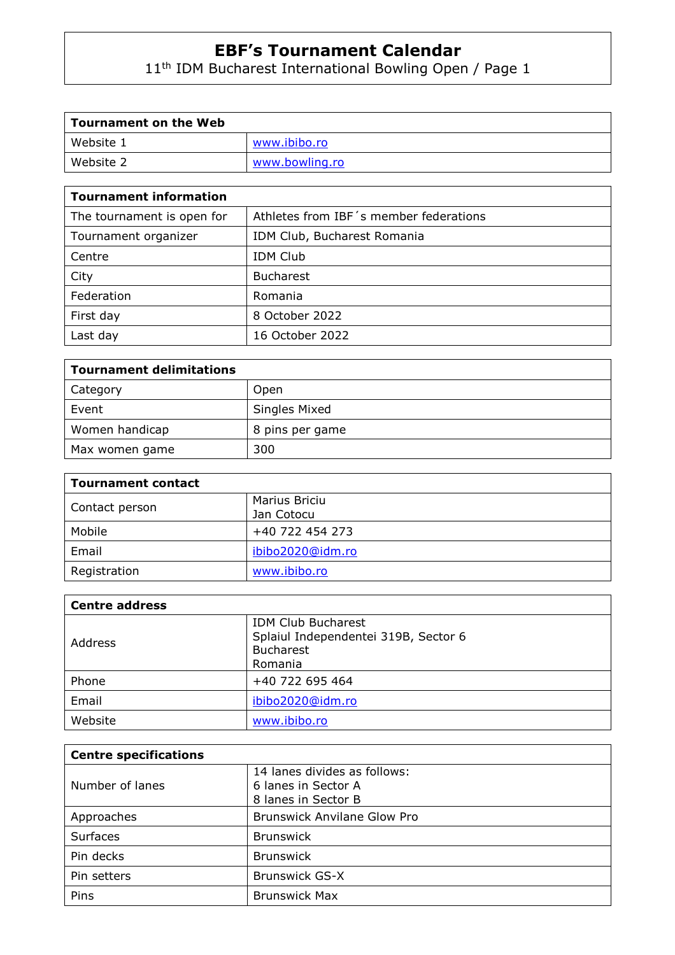11th IDM Bucharest International Bowling Open / Page 1

| <b>Tournament on the Web</b> |                |
|------------------------------|----------------|
| Website 1                    | www.ibibo.ro   |
| Website 2                    | www.bowling.ro |

| <b>Tournament information</b> |                                        |  |
|-------------------------------|----------------------------------------|--|
| The tournament is open for    | Athletes from IBF's member federations |  |
| Tournament organizer          | IDM Club, Bucharest Romania            |  |
| Centre                        | <b>IDM Club</b>                        |  |
| City                          | <b>Bucharest</b>                       |  |
| Federation                    | Romania                                |  |
| First day                     | 8 October 2022                         |  |
| Last day                      | 16 October 2022                        |  |

| <b>Tournament delimitations</b> |                 |
|---------------------------------|-----------------|
| Category                        | Open            |
| Event                           | Singles Mixed   |
| Women handicap                  | 8 pins per game |
| Max women game                  | 300             |

| <b>Tournament contact</b> |                  |
|---------------------------|------------------|
|                           | Marius Briciu    |
| Contact person            | Jan Cotocu       |
| Mobile                    | +40 722 454 273  |
| Email                     | ibibo2020@idm.ro |
| Registration              | www.ibibo.ro     |

| <b>Centre address</b> |                                                                   |
|-----------------------|-------------------------------------------------------------------|
| Address               | <b>IDM Club Bucharest</b><br>Splaiul Independentei 319B, Sector 6 |
|                       | <b>Bucharest</b>                                                  |
|                       | Romania                                                           |
| Phone                 | +40 722 695 464                                                   |
| Email                 | ibibo2020@idm.ro                                                  |
| Website               | www.ibibo.ro                                                      |

| <b>Centre specifications</b> |                                                                            |
|------------------------------|----------------------------------------------------------------------------|
| Number of lanes              | 14 lanes divides as follows:<br>6 lanes in Sector A<br>8 lanes in Sector B |
| Approaches                   | <b>Brunswick Anvilane Glow Pro</b>                                         |
| <b>Surfaces</b>              | <b>Brunswick</b>                                                           |
| Pin decks                    | <b>Brunswick</b>                                                           |
| Pin setters                  | <b>Brunswick GS-X</b>                                                      |
| Pins                         | <b>Brunswick Max</b>                                                       |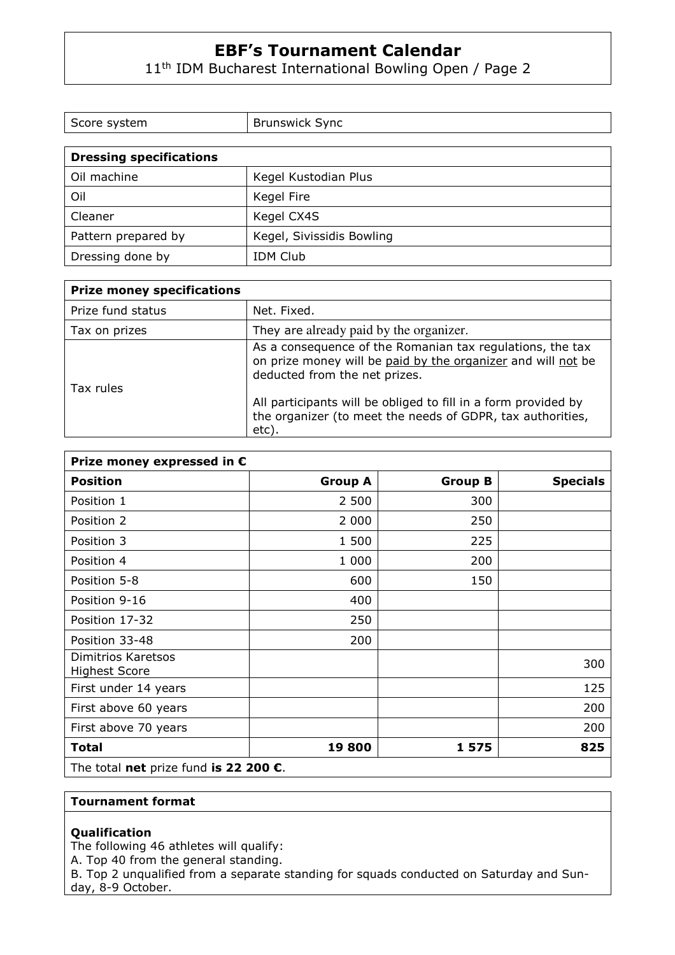11<sup>th</sup> IDM Bucharest International Bowling Open / Page 2

| Score system                   | <b>Brunswick Sync</b>     |
|--------------------------------|---------------------------|
|                                |                           |
| <b>Dressing specifications</b> |                           |
| Oil machine                    | Kegel Kustodian Plus      |
| Oil                            | Kegel Fire                |
| Cleaner                        | Kegel CX4S                |
| Pattern prepared by            | Kegel, Sivissidis Bowling |
| Dressing done by               | <b>IDM Club</b>           |

| <b>Prize money specifications</b> |                                                                                                                                                            |
|-----------------------------------|------------------------------------------------------------------------------------------------------------------------------------------------------------|
| Prize fund status                 | Net. Fixed.                                                                                                                                                |
| Tax on prizes                     | They are already paid by the organizer.                                                                                                                    |
| Tax rules                         | As a consequence of the Romanian tax regulations, the tax<br>on prize money will be paid by the organizer and will not be<br>deducted from the net prizes. |
|                                   | All participants will be obliged to fill in a form provided by<br>the organizer (to meet the needs of GDPR, tax authorities,<br>etc).                      |

| Prize money expressed in $\epsilon$             |                |                |                 |
|-------------------------------------------------|----------------|----------------|-----------------|
| <b>Position</b>                                 | <b>Group A</b> | <b>Group B</b> | <b>Specials</b> |
| Position 1                                      | 2 500          | 300            |                 |
| Position 2                                      | 2 000          | 250            |                 |
| Position 3                                      | 1 500          | 225            |                 |
| Position 4                                      | 1 000          | 200            |                 |
| Position 5-8                                    | 600            | 150            |                 |
| Position 9-16                                   | 400            |                |                 |
| Position 17-32                                  | 250            |                |                 |
| Position 33-48                                  | 200            |                |                 |
| Dimitrios Karetsos<br><b>Highest Score</b>      |                |                | 300             |
| First under 14 years                            |                |                | 125             |
| First above 60 years                            |                |                | 200             |
| First above 70 years                            |                |                | 200             |
| <b>Total</b>                                    | 19800          | 1575           | 825             |
| The total net prize fund is 22 200 $\epsilon$ . |                |                |                 |

## **Tournament format**

## **Qualification**

The following 46 athletes will qualify:

A. Top 40 from the general standing.

B. Top 2 unqualified from a separate standing for squads conducted on Saturday and Sunday, 8-9 October.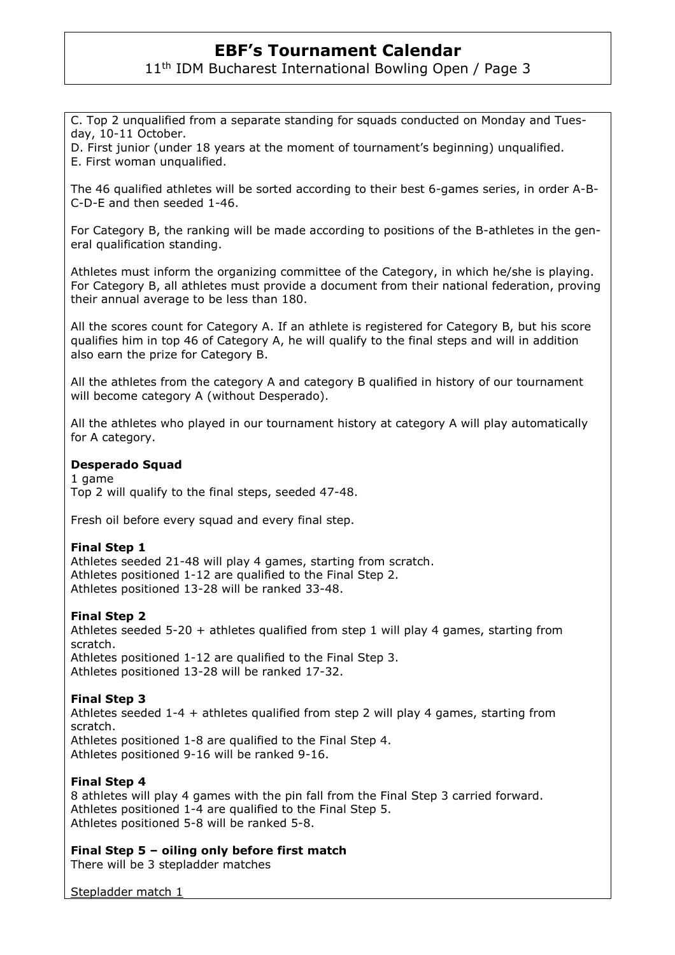11<sup>th</sup> IDM Bucharest International Bowling Open / Page 3

C. Top 2 unqualified from a separate standing for squads conducted on Monday and Tuesday, 10-11 October.

D. First junior (under 18 years at the moment of tournament's beginning) unqualified. E. First woman unqualified.

The 46 qualified athletes will be sorted according to their best 6-games series, in order A-B-C-D-E and then seeded 1-46.

For Category B, the ranking will be made according to positions of the B-athletes in the general qualification standing.

Athletes must inform the organizing committee of the Category, in which he/she is playing. For Category B, all athletes must provide a document from their national federation, proving their annual average to be less than 180.

All the scores count for Category A. If an athlete is registered for Category B, but his score qualifies him in top 46 of Category A, he will qualify to the final steps and will in addition also earn the prize for Category B.

All the athletes from the category A and category B qualified in history of our tournament will become category A (without Desperado).

All the athletes who played in our tournament history at category A will play automatically for A category.

# **Desperado Squad**

1 game Top 2 will qualify to the final steps, seeded 47-48.

Fresh oil before every squad and every final step.

## **Final Step 1**

Athletes seeded 21-48 will play 4 games, starting from scratch. Athletes positioned 1-12 are qualified to the Final Step 2. Athletes positioned 13-28 will be ranked 33-48.

## **Final Step 2**

Athletes seeded 5-20 + athletes qualified from step 1 will play 4 games, starting from scratch. Athletes positioned 1-12 are qualified to the Final Step 3. Athletes positioned 13-28 will be ranked 17-32.

## **Final Step 3**

Athletes seeded 1-4 + athletes qualified from step 2 will play 4 games, starting from scratch. Athletes positioned 1-8 are qualified to the Final Step 4. Athletes positioned 9-16 will be ranked 9-16.

## **Final Step 4**

8 athletes will play 4 games with the pin fall from the Final Step 3 carried forward. Athletes positioned 1-4 are qualified to the Final Step 5. Athletes positioned 5-8 will be ranked 5-8.

**Final Step 5 – oiling only before first match** 

There will be 3 stepladder matches

Stepladder match 1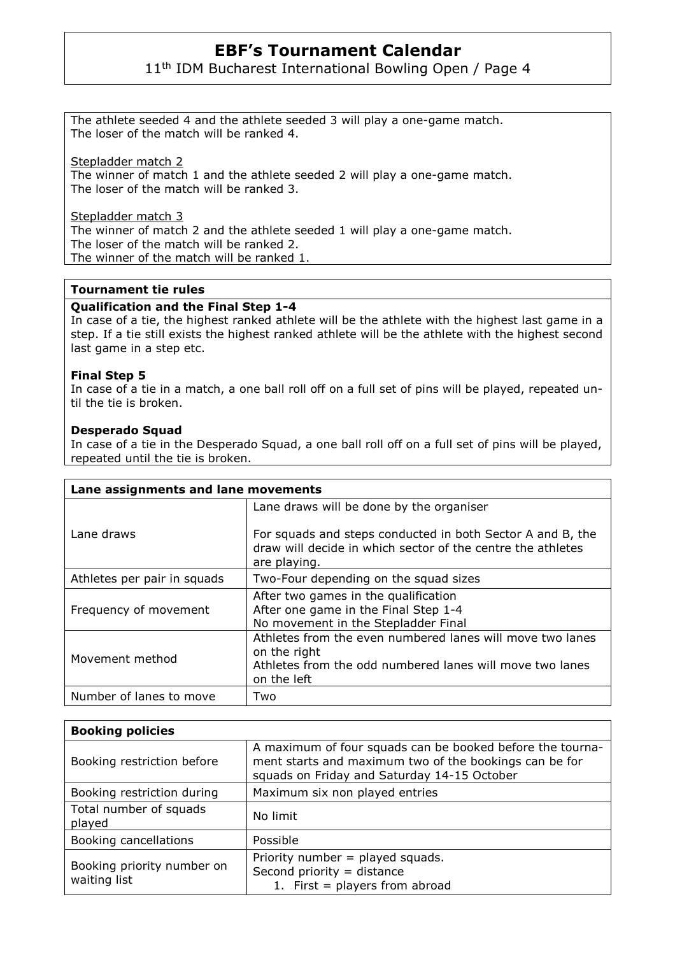11<sup>th</sup> IDM Bucharest International Bowling Open / Page 4

The athlete seeded 4 and the athlete seeded 3 will play a one-game match. The loser of the match will be ranked 4.

Stepladder match 2

The winner of match 1 and the athlete seeded 2 will play a one-game match. The loser of the match will be ranked 3.

Stepladder match 3 The winner of match 2 and the athlete seeded 1 will play a one-game match. The loser of the match will be ranked 2. The winner of the match will be ranked 1.

## **Tournament tie rules**

# **Qualification and the Final Step 1-4**

In case of a tie, the highest ranked athlete will be the athlete with the highest last game in a step. If a tie still exists the highest ranked athlete will be the athlete with the highest second last game in a step etc.

# **Final Step 5**

In case of a tie in a match, a one ball roll off on a full set of pins will be played, repeated until the tie is broken.

# **Desperado Squad**

In case of a tie in the Desperado Squad, a one ball roll off on a full set of pins will be played, repeated until the tie is broken.

| Lane assignments and lane movements |                                                                                                                                                                                       |  |
|-------------------------------------|---------------------------------------------------------------------------------------------------------------------------------------------------------------------------------------|--|
| Lane draws                          | Lane draws will be done by the organiser<br>For squads and steps conducted in both Sector A and B, the<br>draw will decide in which sector of the centre the athletes<br>are playing. |  |
| Athletes per pair in squads         | Two-Four depending on the squad sizes                                                                                                                                                 |  |
| Frequency of movement               | After two games in the qualification<br>After one game in the Final Step 1-4<br>No movement in the Stepladder Final                                                                   |  |
| Movement method                     | Athletes from the even numbered lanes will move two lanes<br>on the right<br>Athletes from the odd numbered lanes will move two lanes<br>on the left                                  |  |
| Number of lanes to move             | Two                                                                                                                                                                                   |  |

| <b>Booking policies</b>                    |                                                                                                                                                                    |
|--------------------------------------------|--------------------------------------------------------------------------------------------------------------------------------------------------------------------|
| Booking restriction before                 | A maximum of four squads can be booked before the tourna-<br>ment starts and maximum two of the bookings can be for<br>squads on Friday and Saturday 14-15 October |
| Booking restriction during                 | Maximum six non played entries                                                                                                                                     |
| Total number of squads<br>played           | No limit                                                                                                                                                           |
| Booking cancellations                      | Possible                                                                                                                                                           |
| Booking priority number on<br>waiting list | Priority number $=$ played squads.<br>Second priority $=$ distance<br>1. First = players from abroad                                                               |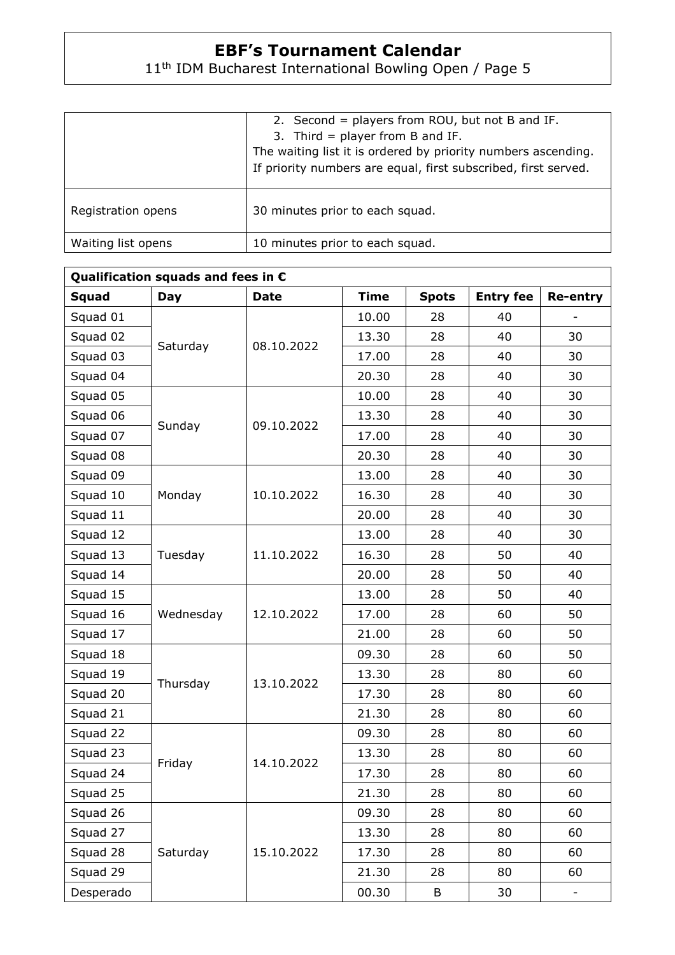# 11th IDM Bucharest International Bowling Open / Page 5

|                    | 2. Second = players from ROU, but not B and IF.<br>3. Third = player from B and IF.<br>The waiting list it is ordered by priority numbers ascending.<br>If priority numbers are equal, first subscribed, first served. |
|--------------------|------------------------------------------------------------------------------------------------------------------------------------------------------------------------------------------------------------------------|
| Registration opens | 30 minutes prior to each squad.                                                                                                                                                                                        |
| Waiting list opens | 10 minutes prior to each squad.                                                                                                                                                                                        |

| Qualification squads and fees in $\epsilon$ |            |             |             |              |                  |                          |
|---------------------------------------------|------------|-------------|-------------|--------------|------------------|--------------------------|
| <b>Squad</b>                                | <b>Day</b> | <b>Date</b> | <b>Time</b> | <b>Spots</b> | <b>Entry fee</b> | <b>Re-entry</b>          |
| Squad 01                                    | Saturday   | 08.10.2022  | 10.00       | 28           | 40               |                          |
| Squad 02                                    |            |             | 13.30       | 28           | 40               | 30                       |
| Squad 03                                    |            |             | 17.00       | 28           | 40               | 30                       |
| Squad 04                                    |            |             | 20.30       | 28           | 40               | 30                       |
| Squad 05                                    | Sunday     | 09.10.2022  | 10.00       | 28           | 40               | 30                       |
| Squad 06                                    |            |             | 13.30       | 28           | 40               | 30                       |
| Squad 07                                    |            |             | 17.00       | 28           | 40               | 30                       |
| Squad 08                                    |            |             | 20.30       | 28           | 40               | 30                       |
| Squad 09                                    | Monday     | 10.10.2022  | 13.00       | 28           | 40               | 30                       |
| Squad 10                                    |            |             | 16.30       | 28           | 40               | 30                       |
| Squad 11                                    |            |             | 20.00       | 28           | 40               | 30                       |
| Squad 12                                    | Tuesday    | 11.10.2022  | 13.00       | 28           | 40               | 30                       |
| Squad 13                                    |            |             | 16.30       | 28           | 50               | 40                       |
| Squad 14                                    |            |             | 20.00       | 28           | 50               | 40                       |
| Squad 15                                    | Wednesday  | 12.10.2022  | 13.00       | 28           | 50               | 40                       |
| Squad 16                                    |            |             | 17.00       | 28           | 60               | 50                       |
| Squad 17                                    |            |             | 21.00       | 28           | 60               | 50                       |
| Squad 18                                    | Thursday   | 13.10.2022  | 09.30       | 28           | 60               | 50                       |
| Squad 19                                    |            |             | 13.30       | 28           | 80               | 60                       |
| Squad 20                                    |            |             | 17.30       | 28           | 80               | 60                       |
| Squad 21                                    |            |             | 21.30       | 28           | 80               | 60                       |
| Squad 22                                    | Friday     | 14.10.2022  | 09.30       | 28           | 80               | 60                       |
| Squad 23                                    |            |             | 13.30       | 28           | 80               | 60                       |
| Squad 24                                    |            |             | 17.30       | 28           | 80               | 60                       |
| Squad 25                                    |            |             | 21.30       | 28           | 80               | 60                       |
| Squad 26                                    | Saturday   | 15.10.2022  | 09.30       | 28           | 80               | 60                       |
| Squad 27                                    |            |             | 13.30       | 28           | 80               | 60                       |
| Squad 28                                    |            |             | 17.30       | 28           | 80               | 60                       |
| Squad 29                                    |            |             | 21.30       | 28           | 80               | 60                       |
| Desperado                                   |            |             | 00.30       | B            | 30               | $\overline{\phantom{a}}$ |